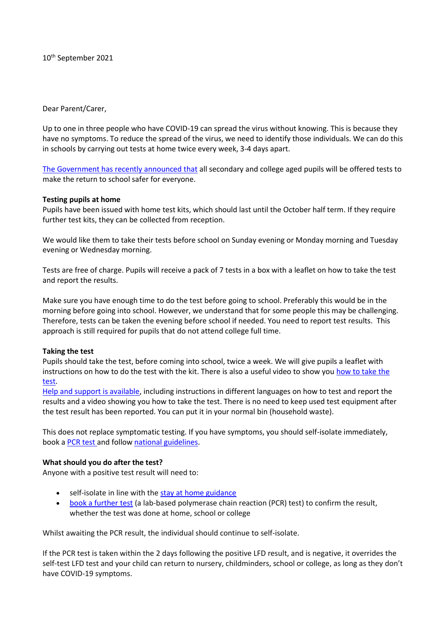10th September 2021

Dear Parent/Carer,

Up to one in three people who have COVID-19 can spread the virus without knowing. This is because they have no symptoms. To reduce the spread of the virus, we need to identify those individuals. We can do this in schools by carrying out tests at home twice every week, 3-4 days apart.

[The Government has recently announced that](https://www.nhs.uk/conditions/coronavirus-covid-19/testing/regular-rapid-coronavirus-tests-if-you-do-not-have-symptoms/) all secondary and college aged pupils will be offered tests to make the return to school safer for everyone.

#### **Testing pupils at home**

Pupils have been issued with home test kits, which should last until the October half term. If they require further test kits, they can be collected from reception.

We would like them to take their tests before school on Sunday evening or Monday morning and Tuesday evening or Wednesday morning.

Tests are free of charge. Pupils will receive a pack of 7 tests in a box with a leaflet on how to take the test and report the results.

Make sure you have enough time to do the test before going to school. Preferably this would be in the morning before going into school. However, we understand that for some people this may be challenging. Therefore, tests can be taken the evening before school if needed. You need to report test results. This approach is still required for pupils that do not attend college full time.

#### **Taking the test**

Pupils should take the test, before coming into school, twice a week. We will give pupils a leaflet with instructions on how to do the test with the kit. There is also a useful video to show you how to take the [test.](https://www.gov.uk/guidance/covid-19-self-test-help)

[Help and support is available,](https://www.gov.uk/guidance/covid-19-self-test-help) including instructions in different languages on how to test and report the results and a video showing you how to take the test. There is no need to keep used test equipment after the test result has been reported. You can put it in your normal bin (household waste).

This does not replace symptomatic testing. If you have symptoms, you should self-isolate immediately, book a [PCR test](https://www.gov.uk/get-coronavirus-test) and follow [national guidelines.](https://www.nhs.uk/conditions/coronavirus-covid-19/symptoms/)

#### **What should you do after the test?**

Anyone with a positive test result will need to:

- self-isolate in line with the [stay at home guidance](https://www.gov.uk/government/publications/covid-19-stay-at-home-guidance/stay-at-home-guidance-for-households-with-possible-coronavirus-covid-19-infection#exempt)
- **[book a further test](https://www.gov.uk/get-coronavirus-test) (a lab-based polymerase chain reaction (PCR) test) to confirm the result,** whether the test was done at home, school or college

Whilst awaiting the PCR result, the individual should continue to self-isolate.

If the PCR test is taken within the 2 days following the positive LFD result, and is negative, it overrides the self-test LFD test and your child can return to nursery, childminders, school or college, as long as they don't have COVID-19 symptoms.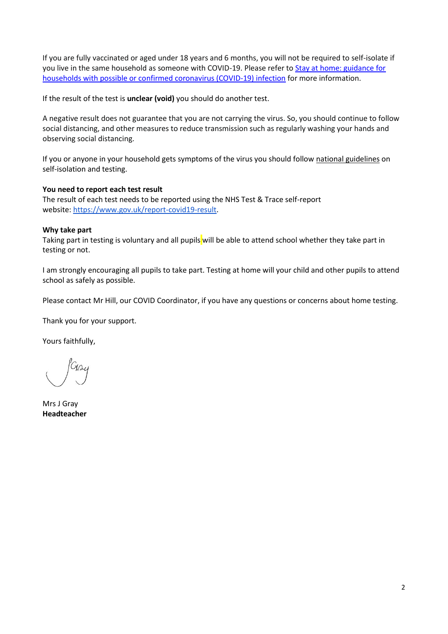If you are fully vaccinated or aged under 18 years and 6 months, you will not be required to self-isolate if you live in the same household as someone with COVID-19. Please refer to [Stay at home: guidance for](https://www.gov.uk/government/publications/covid-19-stay-at-home-guidance/stay-at-home-guidance-for-households-with-possible-coronavirus-covid-19-infection#exempt)  [households with possible or confirmed coronavirus \(COVID-19\) infection](https://www.gov.uk/government/publications/covid-19-stay-at-home-guidance/stay-at-home-guidance-for-households-with-possible-coronavirus-covid-19-infection#exempt) for more information.

If the result of the test is **unclear (void)** you should do another test.

A negative result does not guarantee that you are not carrying the virus. So, you should continue to follow social distancing, and other measures to reduce transmission such as regularly washing your hands and observing social distancing.

If you or anyone in your household gets symptoms of the virus you should follow [national guidelines](https://www.nhs.uk/conditions/coronavirus-covid-19/symptoms/) on self-isolation and testing.

## **You need to report each test result**

The result of each test needs to be reported using the NHS Test & Trace self-report website: [https://www.gov.uk/report-covid19-result.](https://www.gov.uk/report-covid19-result)

#### **Why take part**

Taking part in testing is voluntary and all pupils will be able to attend school whether they take part in testing or not.

I am strongly encouraging all pupils to take part. Testing at home will your child and other pupils to attend school as safely as possible.

Please contact Mr Hill, our COVID Coordinator, if you have any questions or concerns about home testing.

Thank you for your support.

Yours faithfully,

Mrs J Gray **Headteacher**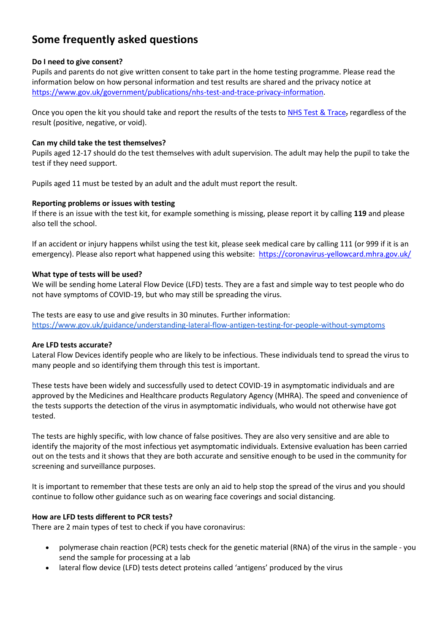# **Some frequently asked questions**

### **Do I need to give consent?**

Pupils and parents do not give written consent to take part in the home testing programme. Please read the information below on how personal information and test results are shared and the privacy notice at [https://www.gov.uk/government/publications/nhs-test-and-trace-privacy-information.](https://www.gov.uk/government/publications/nhs-test-and-trace-privacy-information)

Once you open the kit you should take and report the results of the tests to [NHS Test & Trace,](https://www.gov.uk/report-covid19-result) regardless of the result (positive, negative, or void).

#### **Can my child take the test themselves?**

Pupils aged 12-17 should do the test themselves with adult supervision. The adult may help the pupil to take the test if they need support.

Pupils aged 11 must be tested by an adult and the adult must report the result.

#### **Reporting problems or issues with testing**

If there is an issue with the test kit, for example something is missing, please report it by calling **119** and please also tell the school.

If an accident or injury happens whilst using the test kit, please seek medical care by calling 111 (or 999 if it is an emergency). Please also report what happened using this website: <https://coronavirus-yellowcard.mhra.gov.uk/>

#### **What type of tests will be used?**

We will be sending home Lateral Flow Device (LFD) tests. They are a fast and simple way to test people who do not have symptoms of COVID-19, but who may still be spreading the virus.

The tests are easy to use and give results in 30 minutes. Further information: <https://www.gov.uk/guidance/understanding-lateral-flow-antigen-testing-for-people-without-symptoms>

## **Are LFD tests accurate?**

Lateral Flow Devices identify people who are likely to be infectious. These individuals tend to spread the virus to many people and so identifying them through this test is important. 

These tests have been widely and successfully used to detect COVID-19 in asymptomatic individuals and are approved by the Medicines and Healthcare products Regulatory Agency (MHRA). The speed and convenience of the tests supports the detection of the virus in asymptomatic individuals, who would not otherwise have got tested.

The tests are highly specific, with low chance of false positives. They are also very sensitive and are able to identify the majority of the most infectious yet asymptomatic individuals. Extensive evaluation has been carried out on the tests and it shows that they are both accurate and sensitive enough to be used in the community for screening and surveillance purposes. 

It is important to remember that these tests are only an aid to help stop the spread of the virus and you should continue to follow other guidance such as on wearing face coverings and social distancing. 

## **How are LFD tests different to PCR tests?**

There are 2 main types of test to check if you have coronavirus:

- polymerase chain reaction (PCR) tests check for the genetic material (RNA) of the virus in the sample you send the sample for processing at a lab
- lateral flow device (LFD) tests detect proteins called 'antigens' produced by the virus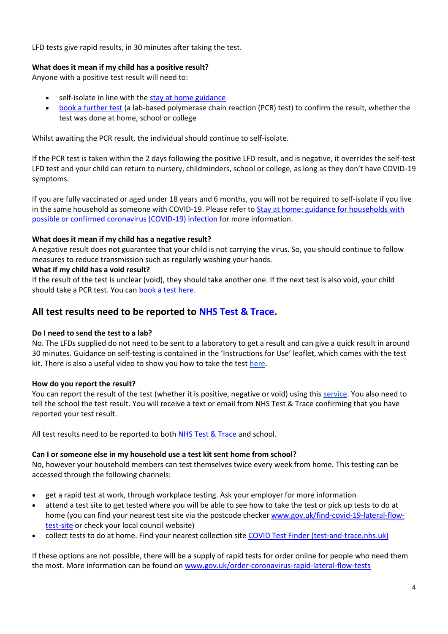LFD tests give rapid results, in 30 minutes after taking the test.

### **What does it mean if my child has a positive result?**

Anyone with a positive test result will need to:

- self-isolate in line with the [stay at home guidance](https://www.gov.uk/government/publications/covid-19-stay-at-home-guidance/stay-at-home-guidance-for-households-with-possible-coronavirus-covid-19-infection#exempt)
- [book a further test](https://www.gov.uk/get-coronavirus-test) (a lab-based polymerase chain reaction (PCR) test) to confirm the result, whether the test was done at home, school or college

Whilst awaiting the PCR result, the individual should continue to self-isolate.

If the PCR test is taken within the 2 days following the positive LFD result, and is negative, it overrides the self-test LFD test and your child can return to nursery, childminders, school or college, as long as they don't have COVID-19 symptoms.

If you are fully vaccinated or aged under 18 years and 6 months, you will not be required to self-isolate if you live in the same household as someone with COVID-19. Please refer to [Stay at home: guidance for households with](https://www.gov.uk/government/publications/covid-19-stay-at-home-guidance/stay-at-home-guidance-for-households-with-possible-coronavirus-covid-19-infection#exempt)  [possible or confirmed coronavirus \(COVID-19\) infection](https://www.gov.uk/government/publications/covid-19-stay-at-home-guidance/stay-at-home-guidance-for-households-with-possible-coronavirus-covid-19-infection#exempt) for more information.

#### **What does it mean if my child has a negative result?**

A negative result does not guarantee that your child is not carrying the virus. So, you should continue to follow measures to reduce transmission such as regularly washing your hands.

#### **What if my child has a void result?**

If the result of the test is unclear (void), they should take another one. If the next test is also void, your child should take a PCR test. You ca[n book a test here.](https://www.gov.uk/get-coronavirus-test)

## **All test results need to be reported to [NHS Test & Trace.](https://www.gov.uk/report-covid19-result)**

#### **Do I need to send the test to a lab?**

No. The LFDs supplied do not need to be sent to a laboratory to get a result and can give a quick result in around 30 minutes. Guidance on self-testing is contained in the 'Instructions for Use' leaflet, which comes with the test kit. There is also a useful video to show you how to take the tes[t here.](https://www.youtube.com/watch?v=S9XR8RZxKNo&list=PLvaBZskxS7tzQYlVg7lwH5uxAD9UrSzGJ&index=1)

#### **How do you report the result?**

You can report the result of the test (whether it is positive, negative or void) using this [service.](https://www.gov.uk/report-covid19-result) You also need to tell the school the test result. You will receive a text or email from NHS Test & Trace confirming that you have reported your test result.

All test results need to be reported to both [NHS Test & Trace](https://www.gov.uk/report-covid19-result) and school.

## **Can I or someone else in my household use a test kit sent home from school?**

No, however your household members can test themselves twice every week from home. This testing can be accessed through the following channels:

- get a rapid test at work, through workplace testing. Ask your employer for more information
- attend a test site to get tested where you will be able to see how to take the test or pick up tests to do at home (you can find your nearest test site via the postcode checker [www.gov.uk/find-covid-19-lateral-flow](http://www.gov.uk/find-covid-19-lateral-flow-test-site)[test-site](http://www.gov.uk/find-covid-19-lateral-flow-test-site) or check your local council website)
- collect tests to do at home. Find your nearest collection site [COVID Test Finder \(test-and-trace.nhs.uk\)](https://find-covid-19-rapid-test-sites.maps.test-and-trace.nhs.uk/)

If these options are not possible, there will be a supply of rapid tests for order online for people who need them the most. More information can be found on [www.gov.uk/order-coronavirus-rapid-lateral-flow-tests](http://www.gov.uk/order-coronavirus-rapid-lateral-flow-tests)